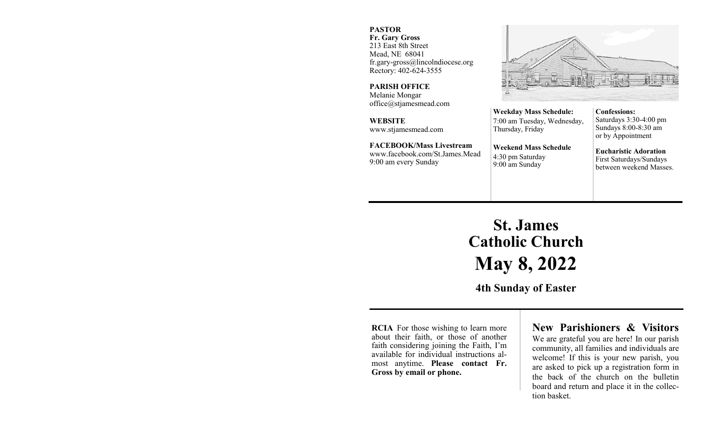#### **PASTOR**

**Fr. Gary Gross** 213 East 8th Street Mead, NE 68041 fr.gary-gross@lincolndiocese.org Rectory: 402-624-3555

**PARISH OFFICE** Melanie Mongar office@stjamesmead.com

**WEBSITE** www.stjamesmead.com

**FACEBOOK/Mass Livestream** [www.facebook.com/St.James.Mead](https://www.facebook.com/St.James.Mead/) 9:00 am every Sunday

7:00 am Tuesday, Wednesday, **Confessions:**  Saturdays 3:30-4:00 pm Sundays 8:00-8:30 am or by Appointment

> **Eucharistic Adoration**  First Saturdays/Sundays between weekend Masses.

# **St. James Catholic Church May 8, 2022**

**Weekday Mass Schedule:** 

**Weekend Mass Schedule**

Thursday, Friday

4:30 pm Saturday 9:00 am Sunday

**4th Sunday of Easter**

**RCIA** For those wishing to learn more about their faith, or those of another faith considering joining the Faith, I'm available for individual instructions almost anytime. **Please contact Fr. Gross by email or phone.**

## **New Parishioners & Visitors**

We are grateful you are here! In our parish community, all families and individuals are welcome! If this is your new parish, you are asked to pick up a registration form in the back of the church on the bulletin board and return and place it in the collection basket.